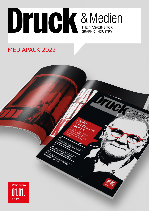

Papier.

nen richtig

Papier:<br>Eine Branche<br>Jenuere:<br>Papiere:

**CONSTRUCTION** 

## MEDIAPACK 2022

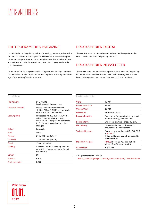## FACTS AND FIGURES

### THE DRUCK&MEDIEN MAGAZINE

Druck&Medien is the printing industry's leading trade magazine with a circulation of about 6,500 copies. Druck&Medien adresses entrepreneurs and key personnel in the printing business, but also instructors in vocational schools, liaisons of suppliers, print buyers, and media production staff.

As an authoritative magazine maintaining consistently high standards, Druck&Medien is well respected for its independent writing and coverage of the industry's various sectors.

#### DRUCK&MEDIEN DIGITAL

The website www.druck-medien.net independently reports on the latest developments of the printing industry.

#### DRUCK&MEDIEN NEWSLETTER

The druckmedien.net newsletter reports twice a week all the printing industry's essential news as they have been breaking over the last hours. It is regularly read by approximately 5,600 subscribers.

| Druck&Medien             |                                                                                                                                                                |
|--------------------------|----------------------------------------------------------------------------------------------------------------------------------------------------------------|
| <b>File Delivery</b>     | by E-Mail to<br>ines.herrera@oberauer.com                                                                                                                      |
| <b>Technical formats</b> | Please send your PDF-File (min.<br>400dpi, PDF/x-4 2008) in high resolu-<br>tion and all fonts embedded.                                                       |
| Colour profile           | PSOcoated v3 (ISO 12647-2:2013).<br>Other colour profiles (e.g. RGB,<br>Pantone, HKS, etc.) will be converted<br>to CMYK, which can lead to colour<br>changes. |
| Colour                   | Euroscale                                                                                                                                                      |
| Print                    | Offset                                                                                                                                                         |
| Format                   | $210 \times 280$ mm (W $\times$ H)                                                                                                                             |
| Trim size                | 175 x 240 mm (W x H)                                                                                                                                           |
| <b>Bleed</b>             | +3mm (all sides)                                                                                                                                               |
| <b>Binding</b>           | Adhesive Bond (Depending on your<br>advertising design, include 4-6mm in<br>the layout.)                                                                       |
| Screen                   | 80                                                                                                                                                             |
| Printrun                 | 6.500                                                                                                                                                          |
| <b>Print circulation</b> | 6.270                                                                                                                                                          |

| Druck&Medien Digital     |                                                                                                                           |
|--------------------------|---------------------------------------------------------------------------------------------------------------------------|
| <b>Visits</b>            | 40.037                                                                                                                    |
| Page Impressions         | 68.586                                                                                                                    |
| Unique Users             | 29.044                                                                                                                    |
| <b>Newsletter</b>        | 5.000 subscribers                                                                                                         |
| <b>Booking Deadline</b>  | Five days before publication by e-mail<br>to ines.herrera@oberauer.com                                                    |
| <b>Booking term</b>      | One week, starting Sunday 12 p.m.                                                                                         |
| <b>File Delivery</b>     | Three days before publication to<br>ines.herrera@oberauer.com                                                             |
| <b>Technical formats</b> | Please send your files in GIF, JPG, PNG<br>or HTML5 <sup>*</sup><br>Animated banners can't be placed in<br>the newsletter |
| Maximum file size        | HTML5: Polite 60 KB, max 199 KB<br>reload; Gif/JPG max. 100 KB                                                            |
| Cancellation             | due to ToS                                                                                                                |

\* Requirements for HTML5:

[https://support.google.com/dfp\\_premium/answer/7046799?hl=de](https://support.google.com/dfp_premium/answer/7046799?hl=de)

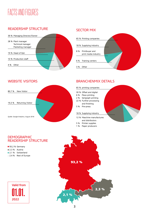# FACTS AND FIGURES

### READERSHIP STRUCTURE



### SECTOR MIX



### WEBSITE VISITORS



### BRANCHENMIX DETAILS

#### 65 % printing companies

- 30 % Offset and digital
- 6 % Flexo printing
- 2 % Serigraph printing 22 % Further processing
- and finishing
- 5 % Pre-press
- 
- 18 % Supplying industry
- 12 % Maschine manufactures and distributors
- 5 % Printer supplies 1 % Paper producers

#### **DEMOGRAPHIC** READERSHIP STRUCTURE

93.2 % Germany 2,3 % Austria 2.1 % Switzerland **2.4 %** Rest of Europe



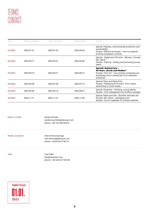| <b>Issue</b> | Booking deadline | Copy submission | Release date | <b>Topics</b>                                                                                                                                                                   |
|--------------|------------------|-----------------|--------------|---------------------------------------------------------------------------------------------------------------------------------------------------------------------------------|
| 01/2022      | 2022-01-21       | 2022-01-25      | 2022-02-03   | Special: Prepress, environmental protection and<br>sustainability<br>Dossier: Efficient processes - how to organize<br>printing companies correctly                             |
| 02/2022      | 2022-03-17       | 2022-03-21      | 2022-03-30   | Special: Digital and LFP print, Winners, Drucker<br>des Jahres"<br>Dossier: Training - finding and promoting young<br>talent                                                    |
| 03/2022      | 2022-05-13       | 2022-05-17      | 2022-05-31   | <b>Special: Anniversary -</b><br>20 Years "Druck und Medien"<br>Dossier: Print 4.0 - how printing companies are<br>developing from a handicraft to an industrial<br>enterprise. |
| 04/2022      | 2022-06-30       | 2022-07-04      | 2022-07-13   | Special: Flexo and Deep Print<br>Dossier: Marketing fpr Printers. From classic<br>advertising to social media.                                                                  |
| 05/2022      | 2022-09-08       | 2022-09-12      | 2022-09-21   | Special: Postpress - finishing, young talents<br>Dossier: Time management for printers manager                                                                                  |
| 06/2022      | 2022-11-17       | 2022-11-21      | 2022-11-30   | Special: Paper and inks "Shortlist nominees for<br>Drucker des Jahres", packaging print<br>Dossier: how to negotiate for printed material                                       |

Editor-in-Chief Sandra Küchler sandra.kuechler@oberauer.com phone: +49 152 09270410

Media consultant Inés Herrera-Quiroga ines.herrera@oberauer.com phone: +436225/27 00-31

Jobs Lisa Hofer jobs@oberauer.com phone: +43 6225/27 00-46

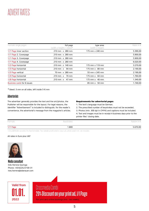## ADVERT RATES

| Formats single pages        | full page                 | type area               | Rates in $\in$ |
|-----------------------------|---------------------------|-------------------------|----------------|
|                             | (width x height) + bleed* | (width x height)        |                |
| 1/1 Page inner section      | 210 mm x 280 mm           | 175 mm x 240 mm         | 5.390,00       |
| 1/1 Page 2. Coverpage       | 210 mm x 280 mm           |                         | 5.900,00       |
| 1/1 Page 3. Coverpage       | 210 mm x 280 mm           |                         | 5.900,00       |
| 1/1 Page 4. Coverpage       | 210 mm x 280 mm           |                         | 6.020,00       |
| 1/2 Page horizontal         | 210 mm x 140 mm           | 175 mm x 119 mm         | 3.270,00       |
| 1/3 Page horizontal         | $210$ mm $\times$ 94 mm   | 175 mm $\times$ 80 mm   | 2.190,00       |
| 1/3 Page vertical           | 70 mm x 280 mm            | 55 mm x 245 mm          | 2.190,00       |
| 1/4 Page horizontal         | $210$ mm $\times$ 70 mm   | $175$ mm $\times$ 60 mm | 1.760,00       |
| 1/8 Page horizontal         | $210$ mm $\times$ 47 mm   | 175 mm x 40 mm          | 1.340,00       |
| Business cards for 6 issues |                           | 85 mm x 50 mm           | 1.740,00       |

\* bleed: 3 mm on all sides, left inside 5-6 mm

#### **Advertorials**

The advertiser generally provides the text and line art/photos, the Publisher will be responsible for the layout. For legal reasons, the identifier "Advertisement" is included to distinguish, for the reader's convenience, the advertorial's message from the magazine's articles.

#### Requirements for advertorial pages

1. The text's language must be German.

2. The prescribed number of keystrokes must not be exceeded.

3. Photos (min. 300 dpi in CMYK) and captions must be included. 4. Text and images must be in receipt 4 business days prior to the printer files' closing date.

| Formats<br>Keystrokes |                      |
|-----------------------|----------------------|
|                       | Rates* in $\epsilon$ |

\* Druck&Medien provides the fixed template. Two sample proofs and/or copy cuts, photo search etc. are included.

#### All rates in Euro plus VAT



Media consultant Inés Herrera-Quiroga Phone: +436225/27 00-31 ines.herrera@oberauer.com



## Crossmedia Combi 20% Discount on your print ad, 1/1 Page

For print and online bookings (min. two weeks).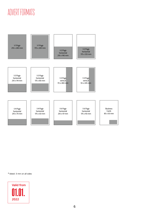# ADVERT FORMATS



\* bleed: 3 mm on all sides

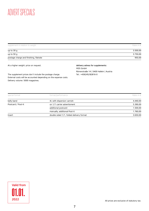## ADVERT SPECIALS

| supplement in relation to weight       | Rates in $\in$ |
|----------------------------------------|----------------|
| up to $30 g$                           | 3.500,00       |
| up to 50 g                             | 3.750,00       |
| postage charge and finishing, flatrate | 950,00         |

At a higher weight: price on request.

delivery adress for supplements: MDS GmbH Römerstraße 14 | 5400 Hallein | Austria Tel.: +436245/82816-0

The supplement prices don't include the postage charge. External costs will be accounted depending on the expense costs. Delivery volume: 5000 magazines.

| special format     | format/performance                       | Rates in $\in$ |
|--------------------|------------------------------------------|----------------|
| belly band         | 4c with dispersion varnish               | 4.440,00       |
| Postcard / Post-It | on 1/1 carrier advertisment              | 5.390,00       |
|                    | additional postcard                      | 1.500,00       |
|                    | manually, additional Post-it             | 1.760,00       |
| Insert             | double sided 1/1, folded delivery format | 3.650,00       |

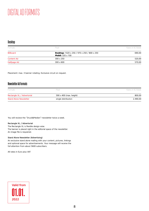#### Desktop

| Formats           | Pixel                                                                                                 | Rates in €/Week |
|-------------------|-------------------------------------------------------------------------------------------------------|-----------------|
| <b>Billboard</b>  | <b>Desktop:</b> $1020 \times 250 / 970 \times 250 / 800 \times 250$<br><b>Mobil:</b> $320 \times 100$ | 690,00          |
| <b>Content Ad</b> | $300 \times 250$                                                                                      | 520,00          |
| Halfpage Ad       | $300 \times 600$                                                                                      | 570,00          |

Placement: max. 3 banner rotating. Exclusive circuit on request.

### Newsletter Ad Formats

| <b>Formats</b>                | Pixel                          | Rates in €/Week |
|-------------------------------|--------------------------------|-----------------|
| Rectangle XL / Advertorial    | 590 $\times$ 400 (max. height) | 800,00          |
| <b>Stand Alone Newsletter</b> | single distribution            | 2.490,00        |

You will recieve the "Druck&Medien"-newsletter twice a week.

#### Rectangle XL / Advertorial

The Rectangle XL is flexible design-wise. The banner is placed right in the editorial space of the newsletter. An image file is requiered.

#### Stand Alone Newsletter (Advertising)

An exclusive stand alone mailing with your content, pictures, linkings and optional space for advertisements. Your message will receive the full attention from about 5600 subscribers.

All rates in Euro plus VAT

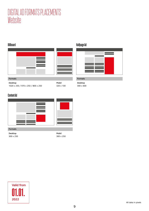## DIGITAL AD FORMATS PLACEMENTS Website

### Billboard





#### Formats

Desktop 1020 x 250 / 970 x 250 / 800 x 250 Mobil 320 x 100

### Content Ad



#### Formats

Desktop 300 x 250 Mobil 300 x 250



### Halfpage Ad



### Formats

Desktop 300 x 600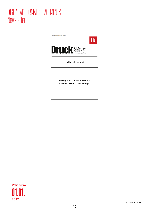## DIGITAL AD FORMATS PLACEMENTS Newsletter



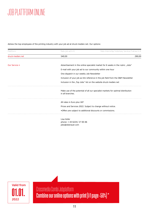# JOB PLATTFORM ONLINE

Adress the top-employees of the printing industry with your job ad at druck-medien.net. Our options:

| Plattform        | Rate job ad in $\in$                                             | Rate Internship/Voluntary Service/Trainee in €                                   |
|------------------|------------------------------------------------------------------|----------------------------------------------------------------------------------|
| druck-medien.net | 540,00                                                           | 290,00                                                                           |
|                  |                                                                  |                                                                                  |
| Our Service *    |                                                                  | Advertisement in the online-specialist market for 6 weeks in the rubric "Jobs"   |
|                  | E-mail with your job ad to our community within one hour         |                                                                                  |
|                  | One dispatch in our weekly Job-Newsletter                        |                                                                                  |
|                  |                                                                  | Inclusion of your job as link reference in the job field from the D&M Newsletter |
|                  | Inclusion in the "Top Jobs" list on the website druck-medien.net |                                                                                  |
|                  | in all branches.                                                 | Make use of the potential of all our specialist markets for optimal distribution |
|                  | All rates in Euro plus VAT                                       |                                                                                  |
|                  | Prices and Services 2022. Subject to change without notice.      |                                                                                  |
|                  | *Offers are subject to additional discounts or commissions.      |                                                                                  |
|                  | Lisa Hofer                                                       |                                                                                  |
|                  | phone: +43 6225/27 00-46                                         |                                                                                  |
|                  | jobs@oberauer.com                                                |                                                                                  |



Crossmedia Combi Jobplatform Combine our online options with print (1/1 page -50%) \*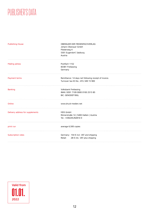## PUBLISHER'S DATA

| <b>Publishing House</b>          | OBERAUER DER MEDIENFACHVERLAG<br>Johann Oberauer GmbH<br>Fliederweg 4<br>5301 Eugendorf, Salzburg<br>Austria |
|----------------------------------|--------------------------------------------------------------------------------------------------------------|
|                                  |                                                                                                              |
| <b>Mailing adress</b>            | Postfach 1152<br>83381 Freilassing<br>Germany                                                                |
| Payment terms                    | Remittance: 14 days net following receipt of invoice.<br>Turnover tax-ID-No.: ATU 349 15 900                 |
| <b>Banking</b>                   | Volksbank Freilassing<br>IBAN: DE91 7109 0000 0100 2515 85<br><b>BIC: GENODEF1BGL</b>                        |
| Online                           | www.druck-medien.net                                                                                         |
| Delivery address for supplements | MDS GmbH<br>Römerstraße 14   5400 Hallein   Austria<br>Tel.: +436245/82816-0                                 |
| print run                        | average 6,500 copies                                                                                         |
| Subscription rates               | Germany: 154 € incl. VAT and shipping<br>28 € inlc. VAT plus shipping<br>Retail:                             |